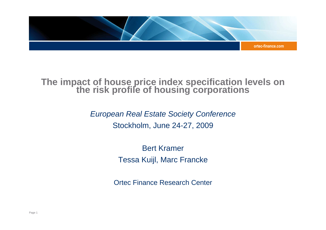

# **The impact of house price index specification levels on the risk profile of housing corporations**

European Real Estate Society Conference Stockholm, June 24-27, 2009

> Bert KramerTessa Kuijl, Marc Francke

Ortec Finance Research Center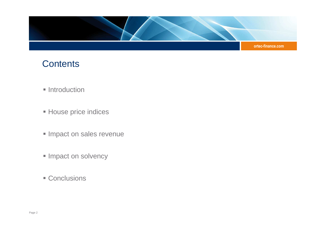

# **Contents**

- **Introduction**
- House price indices
- **Impact on sales revenue**
- **Impact on solvency**
- Conclusions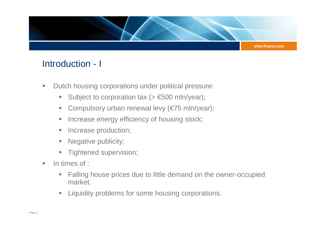

## Introduction - I

- $\mathcal{L}_{\mathcal{A}}$  Dutch housing corporations under political pressure:
	- Subject to corporation tax (> €500 mln/year);
	- $\mathcal{L}_{\mathcal{A}}$ Compulsory urban renewal levy (€75 mln/year);
	- ×, Increase energy efficiency of housing stock;
	- $\mathcal{L}_{\mathcal{A}}$ Increase production;
	- $\mathcal{L}_{\mathcal{A}}$ Negative publicity;
	- $\mathbb{R}^n$ Tightened supervision;
- m. In times of :
	- ×, Falling house prices due to little demand on the owner-occupied market.
	- **Example 1** Liquidity problems for some housing corporations.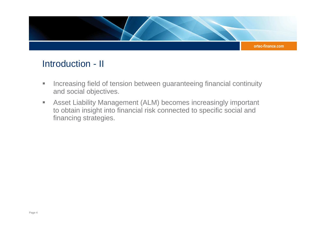

### Introduction - II

- $\mathcal{L}_{\mathcal{A}}$  Increasing field of tension between guaranteeing financial continuity and social objectives.
- $\blacksquare$  Asset Liability Management (ALM) becomes increasingly important to obtain insight into financial risk connected to specific social and financing strategies.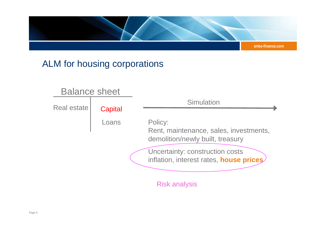

## ALM for housing corporations

#### Loans**Capital Simulation** Policy:Rent, maintenance, sales, investments, demolition/newly built, treasuryUncertainty: construction costs inflation, interest rates, **house prices**Risk analysisBalance sheetReal estate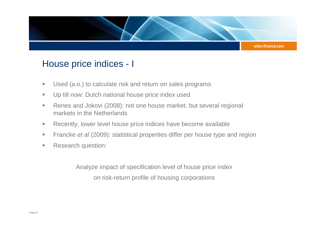

#### House price indices - I

- a. Used (a.o.) to calculate risk and return on sales programs
- $\mathcal{L}_{\mathcal{A}}$ Up till now: Dutch national house price index used
- $\mathcal{L}_{\mathcal{A}}$  Renes and Jokovi (2008): not one house market, but several regional markets in the Netherlands
- $\blacksquare$ Recently, lower level house price indices have become available
- $\blacksquare$ Francke et al (2009): statistical properties differ per house type and region
- $\blacksquare$ Research question:

Analyze impact of specification level of house price index on risk-return profile of housing corporations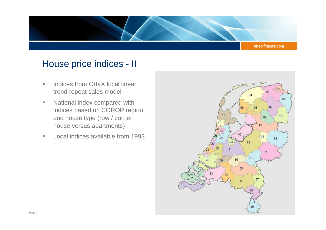

#### House price indices - II

- $\blacksquare$  Indices from OrtaX local linear trend repeat sales model
- $\blacksquare$  National index compared with indices based on COROP region and house type (row / corner house versus apartments)
- $\mathbb{R}^n$ Local indices available from 1993

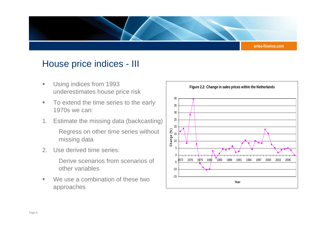

#### House price indices - III

- a. Using indices from 1993 underestimates house price risk
- a. To extend the time series to the early 1970s we can:
- 1. Estimate the missing data (backcasting)Regress on other time series without missing data
- 2. Use derived time series:

Derive scenarios from scenarios of other variables

 $\mathcal{L}_{\mathcal{A}}$  We use a combination of these two approaches

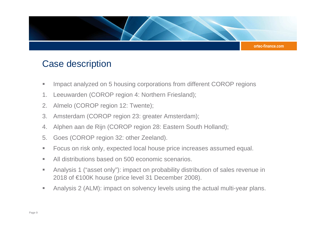

#### Case description

- u. Impact analyzed on 5 housing corporations from different COROP regions
- 1. Leeuwarden (COROP region 4: Northern Friesland);
- 2. Almelo (COROP region 12: Twente);
- 3. Amsterdam (COROP region 23: greater Amsterdam);
- 4. Alphen aan de Rijn (COROP region 28: Eastern South Holland);
- 5. Goes (COROP region 32: other Zeeland).
- a. Focus on risk only, expected local house price increases assumed equal.
- $\mathcal{L}_{\mathcal{A}}$ All distributions based on 500 economic scenarios.
- a. Analysis 1 ("asset only"): impact on probability distribution of sales revenue in 2018 of €100K house (price level 31 December 2008).
- $\blacksquare$ Analysis 2 (ALM): impact on solvency levels using the actual multi-year plans.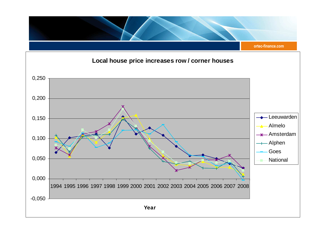

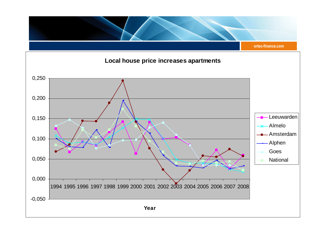

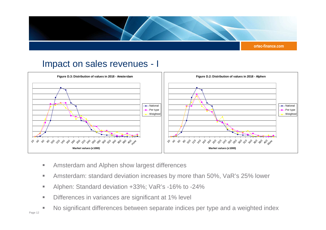

#### Impact on sales revenues - I



- $\mathcal{L}_{\mathcal{A}}$ Amsterdam and Alphen show largest differences
- a. Amsterdam: standard deviation increases by more than 50%, VaR's 25% lower
- $\mathcal{L}_{\mathcal{A}}$ Alphen: Standard deviation +33%; VaR's -16% to -24%
- $\mathcal{L}_{\mathcal{A}}$ Differences in variances are significant at 1% level
- No significant differences between separate indices per type and a weighted index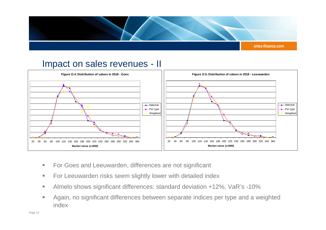

#### Impact on sales revenues - II



- $\blacksquare$ For Goes and Leeuwarden, differences are not significant
- m. For Leeuwarden risks seem slightly lower with detailed index
- $\mathcal{L}_{\mathcal{A}}$ Almelo shows significant differences: standard deviation +12%, VaR's -10%
- Again, no significant differences between separate indices per type and a weighted a. index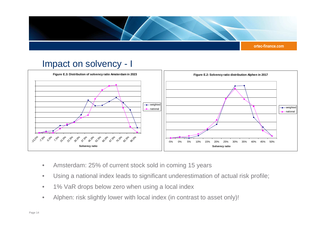

#### Impact on solvency - I



- $\bullet$ Amsterdam: 25% of current stock sold in coming 15 years
- $\bullet$ Using a national index leads to significant underestimation of actual risk profile;
- •1% VaR drops below zero when using a local index
- $\bullet$ Alphen: risk slightly lower with local index (in contrast to asset only)!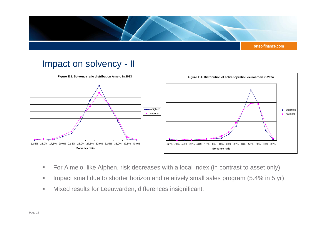

#### Impact on solvency - II



- $\mathbb{R}^n$ For Almelo, like Alphen, risk decreases with a local index (in contrast to asset only)
- $\mathcal{L}_{\mathcal{A}}$ Impact small due to shorter horizon and relatively small sales program (5.4% in 5 yr)
- $\mathcal{L}_{\mathcal{A}}$ Mixed results for Leeuwarden, differences insignificant.